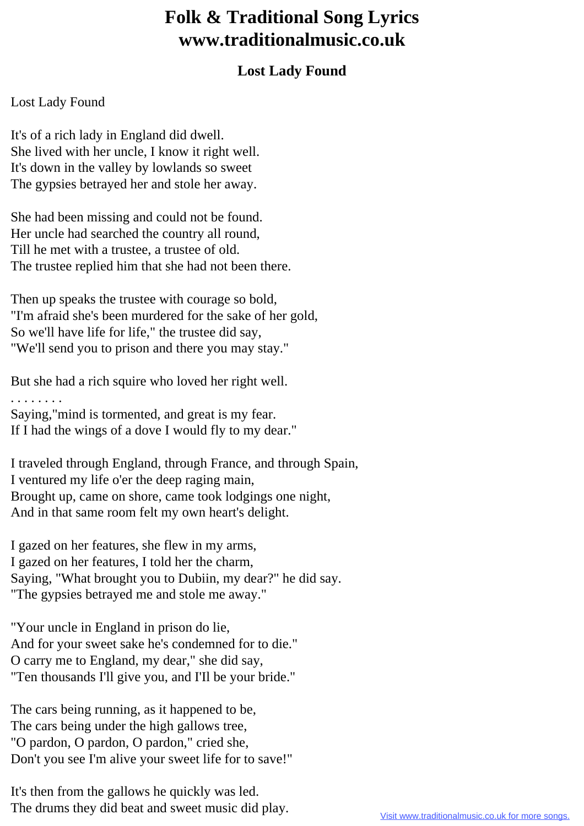## **Folk & Traditional Song Lyrics www.traditionalmusic.co.uk**

## **Lost Lady Found**

## Lost Lady Found

It's of a rich lady in England did dwell. She lived with her uncle, I know it right well. It's down in the valley by lowlands so sweet The gypsies betrayed her and stole her away.

She had been missing and could not be found. Her uncle had searched the country all round, Till he met with a trustee, a trustee of old. The trustee replied him that she had not been there.

Then up speaks the trustee with courage so bold, "I'm afraid she's been murdered for the sake of her gold, So we'll have life for life," the trustee did say, "We'll send you to prison and there you may stay."

But she had a rich squire who loved her right well.

. . . . . . . .

Saying,"mind is tormented, and great is my fear. If I had the wings of a dove I would fly to my dear."

I traveled through England, through France, and through Spain, I ventured my life o'er the deep raging main, Brought up, came on shore, came took lodgings one night, And in that same room felt my own heart's delight.

I gazed on her features, she flew in my arms, I gazed on her features, I told her the charm, Saying, "What brought you to Dubiin, my dear?" he did say. "The gypsies betrayed me and stole me away."

"Your uncle in England in prison do lie, And for your sweet sake he's condemned for to die." O carry me to England, my dear," she did say, "Ten thousands I'll give you, and I'Il be your bride."

The cars being running, as it happened to be, The cars being under the high gallows tree, "O pardon, O pardon, O pardon," cried she, Don't you see I'm alive your sweet life for to save!"

It's then from the gallows he quickly was led. The drums they did beat and sweet music did play.